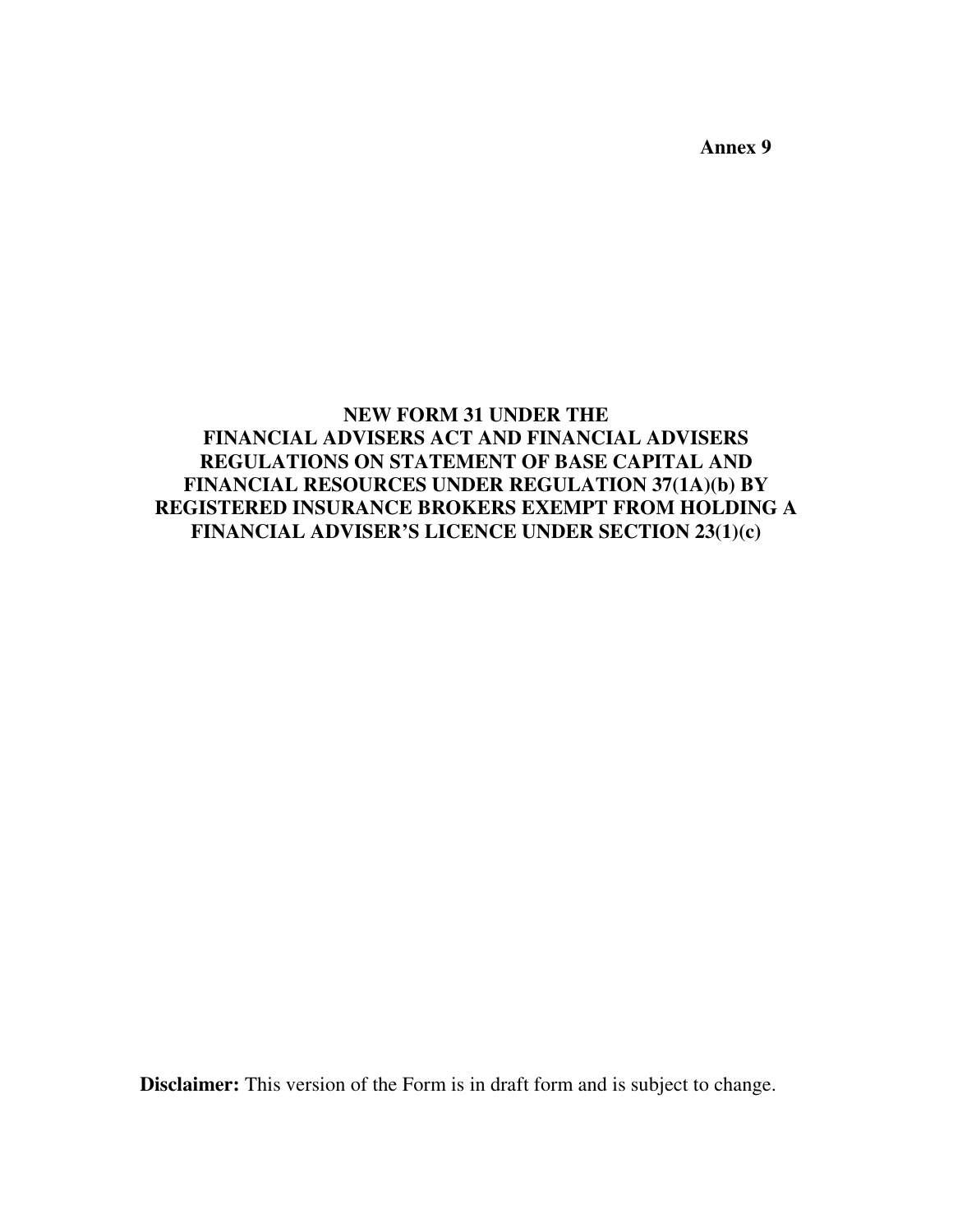**Annex 9** 

## **NEW FORM 31 UNDER THE FINANCIAL ADVISERS ACT AND FINANCIAL ADVISERS REGULATIONS ON STATEMENT OF BASE CAPITAL AND FINANCIAL RESOURCES UNDER REGULATION 37(1A)(b) BY REGISTERED INSURANCE BROKERS EXEMPT FROM HOLDING A FINANCIAL ADVISER'S LICENCE UNDER SECTION 23(1)(c)**

**Disclaimer:** This version of the Form is in draft form and is subject to change.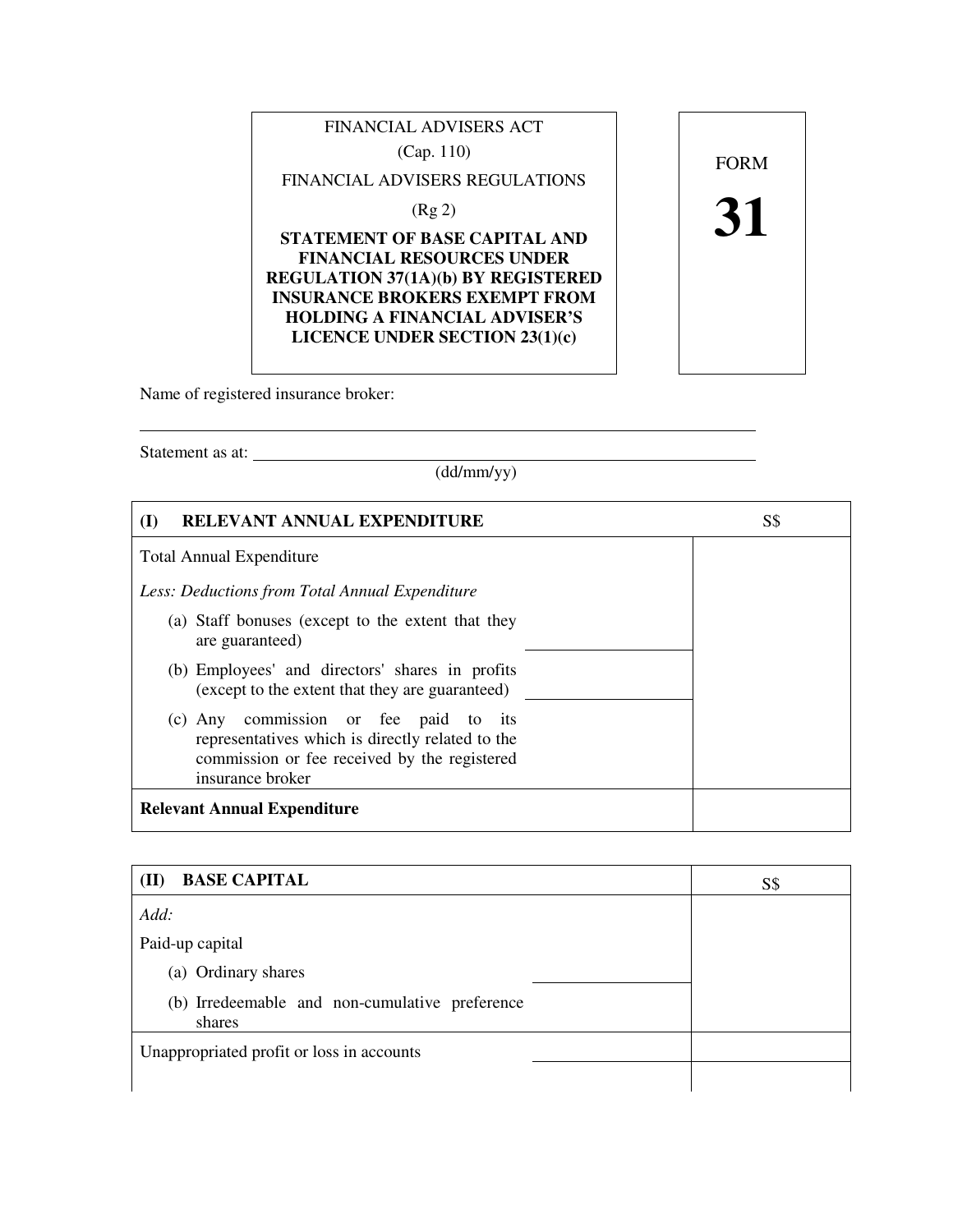

Name of registered insurance broker:

Statement as at:

 $\overline{a}$ 

(dd/mm/yy)

| RELEVANT ANNUAL EXPENDITURE<br>$\mathbf{I}$                                                                                                                   | S\$ |
|---------------------------------------------------------------------------------------------------------------------------------------------------------------|-----|
| <b>Total Annual Expenditure</b>                                                                                                                               |     |
| Less: Deductions from Total Annual Expenditure                                                                                                                |     |
| (a) Staff bonuses (except to the extent that they<br>are guaranteed)                                                                                          |     |
| (b) Employees' and directors' shares in profits<br>(except to the extent that they are guaranteed)                                                            |     |
| (c) Any commission or fee paid to its<br>representatives which is directly related to the<br>commission or fee received by the registered<br>insurance broker |     |
| <b>Relevant Annual Expenditure</b>                                                                                                                            |     |

| <b>BASE CAPITAL</b><br>(II)                              | S\$ |
|----------------------------------------------------------|-----|
| Add:                                                     |     |
| Paid-up capital                                          |     |
| (a) Ordinary shares                                      |     |
| (b) Irredeemable and non-cumulative preference<br>shares |     |
| Unappropriated profit or loss in accounts                |     |
|                                                          |     |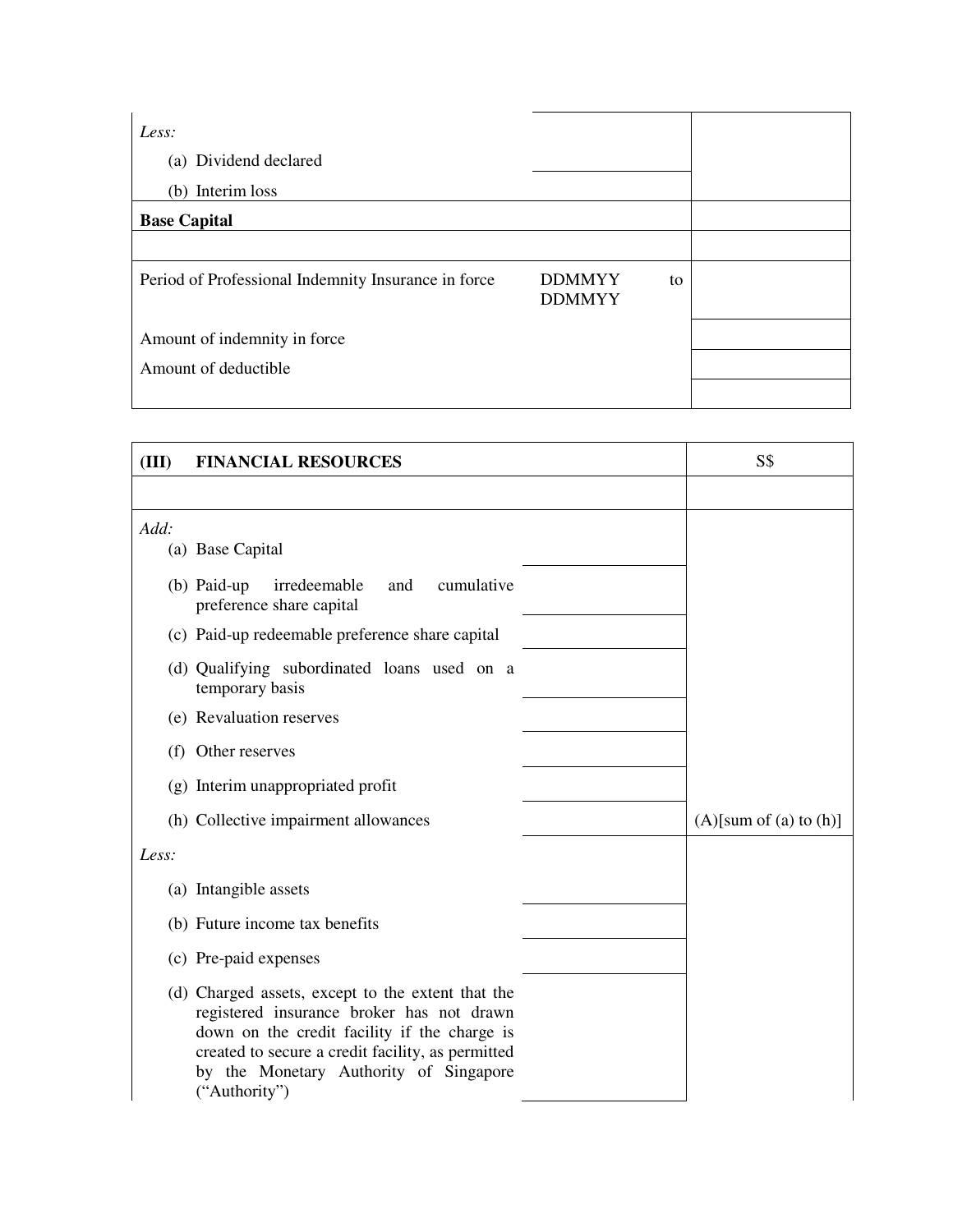| Less:                                               |                                |    |
|-----------------------------------------------------|--------------------------------|----|
| (a) Dividend declared                               |                                |    |
| (b) Interim loss                                    |                                |    |
| <b>Base Capital</b>                                 |                                |    |
|                                                     |                                |    |
| Period of Professional Indemnity Insurance in force | <b>DDMMYY</b><br><b>DDMMYY</b> | to |
| Amount of indemnity in force                        |                                |    |
| Amount of deductible                                |                                |    |
|                                                     |                                |    |

| (III) | <b>FINANCIAL RESOURCES</b>                                                                                                                                                                                                                                     | S\$                       |
|-------|----------------------------------------------------------------------------------------------------------------------------------------------------------------------------------------------------------------------------------------------------------------|---------------------------|
|       |                                                                                                                                                                                                                                                                |                           |
| Add:  |                                                                                                                                                                                                                                                                |                           |
|       | (a) Base Capital                                                                                                                                                                                                                                               |                           |
|       | $(b)$ Paid-up<br>irredeemable<br>cumulative<br>and<br>preference share capital                                                                                                                                                                                 |                           |
|       | (c) Paid-up redeemable preference share capital                                                                                                                                                                                                                |                           |
|       | (d) Qualifying subordinated loans used on a<br>temporary basis                                                                                                                                                                                                 |                           |
|       | (e) Revaluation reserves                                                                                                                                                                                                                                       |                           |
|       | (f) Other reserves                                                                                                                                                                                                                                             |                           |
|       | (g) Interim unappropriated profit                                                                                                                                                                                                                              |                           |
|       | (h) Collective impairment allowances                                                                                                                                                                                                                           | $(A)$ [sum of (a) to (h)] |
| Less: |                                                                                                                                                                                                                                                                |                           |
|       | (a) Intangible assets                                                                                                                                                                                                                                          |                           |
|       | (b) Future income tax benefits                                                                                                                                                                                                                                 |                           |
|       | (c) Pre-paid expenses                                                                                                                                                                                                                                          |                           |
|       | (d) Charged assets, except to the extent that the<br>registered insurance broker has not drawn<br>down on the credit facility if the charge is<br>created to secure a credit facility, as permitted<br>by the Monetary Authority of Singapore<br>("Authority") |                           |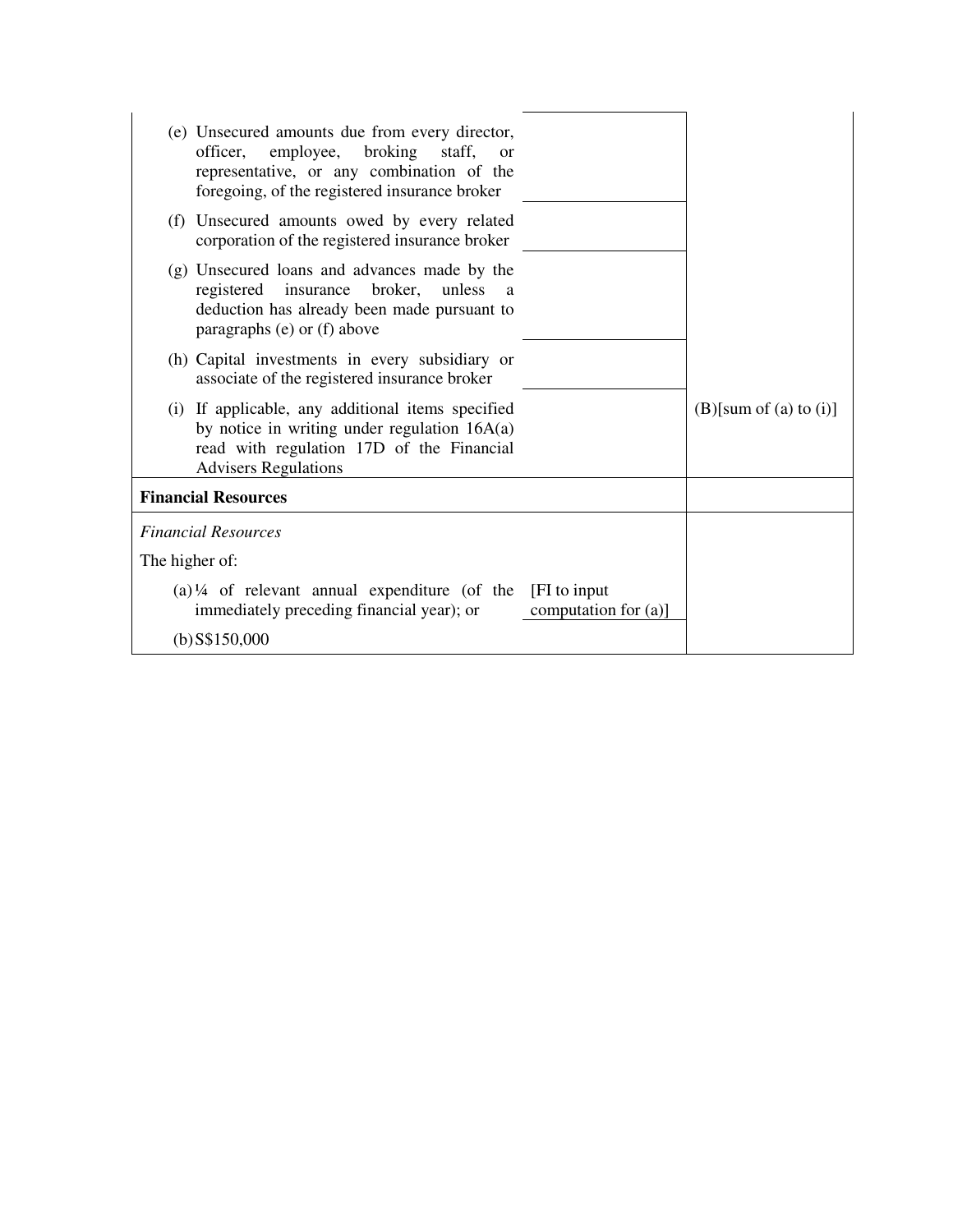| (e) Unsecured amounts due from every director,<br>employee,<br>broking<br>officer,<br>staff,<br>$\alpha$<br>representative, or any combination of the<br>foregoing, of the registered insurance broker |                                |
|--------------------------------------------------------------------------------------------------------------------------------------------------------------------------------------------------------|--------------------------------|
| Unsecured amounts owed by every related<br>(f)<br>corporation of the registered insurance broker                                                                                                       |                                |
| (g) Unsecured loans and advances made by the<br>registered insurance broker,<br>unless<br>a<br>deduction has already been made pursuant to<br>paragraphs (e) or (f) above                              |                                |
| (h) Capital investments in every subsidiary or<br>associate of the registered insurance broker                                                                                                         |                                |
| If applicable, any additional items specified<br>(i)<br>by notice in writing under regulation $16A(a)$<br>read with regulation 17D of the Financial<br><b>Advisers Regulations</b>                     | $(B)$ [sum of $(a)$ to $(i)$ ] |
| <b>Financial Resources</b>                                                                                                                                                                             |                                |
| <b>Financial Resources</b>                                                                                                                                                                             |                                |
| The higher of:                                                                                                                                                                                         |                                |
| $(a)$ <sup>1/4</sup> of relevant annual expenditure (of the<br>[FI to input]<br>immediately preceding financial year); or<br>computation for $(a)$ ]                                                   |                                |
| $(b)$ S\$150,000                                                                                                                                                                                       |                                |